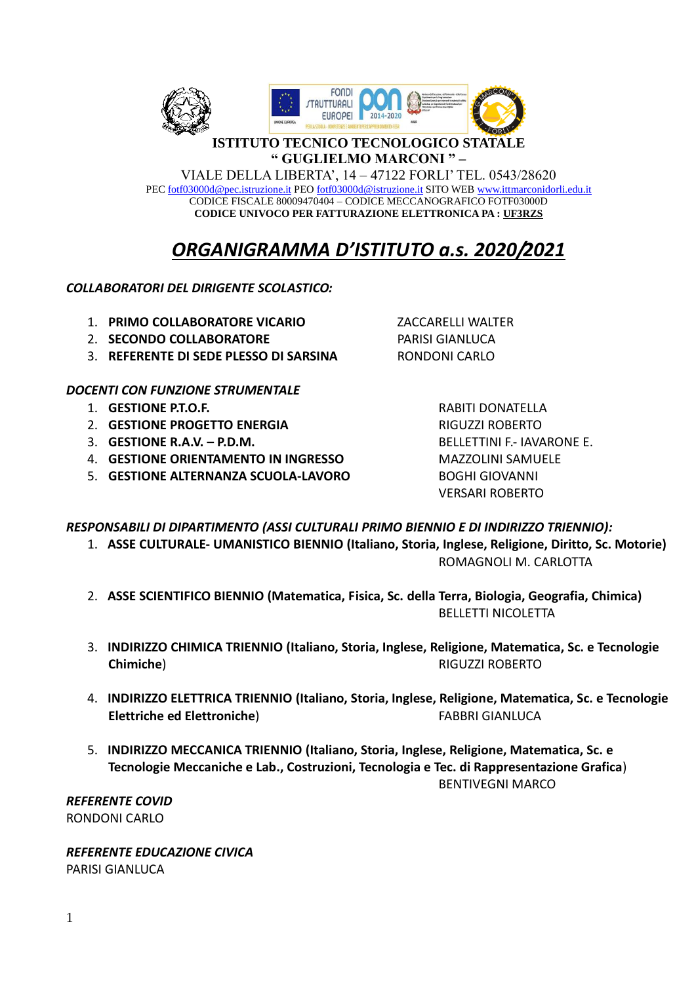

## **ISTITUTO TECNICO TECNOLOGICO STATALE** " GUGLIELMO MARCONI "-

VIALE DELLA LIBERTA', 14 - 47122 FORLI' TEL. 0543/28620 PEC fotf03000d@pec.istruzione.it PEO fotf03000d@istruzione.it SITO WEB www.ittmarconidorli.edu.it CODICE FISCALE 80009470404 - CODICE MECCANOGRAFICO FOTF03000D CODICE UNIVOCO PER FATTURAZIONE ELETTRONICA PA : UF3RZS

# ORGANIGRAMMA D'ISTITUTO a.s. 2020/2021

# **COLLABORATORI DEL DIRIGENTE SCOLASTICO:**

- 1. PRIMO COLLABORATORE VICARIO
- 2. SECONDO COLLABORATORE
- 3. REFERENTE DI SEDE PLESSO DI SARSINA

# **DOCENTI CON FUNZIONE STRUMENTALE**

- 1. GESTIONE P.T.O.F.
- 2. GESTIONE PROGETTO ENERGIA
- 3. **GESTIONE R.A.V. P.D.M.**
- 4. GESTIONE ORIENTAMENTO IN INGRESSO
- 5. GESTIONE ALTERNANZA SCUOLA-LAVORO

**ZACCARELLI WALTER PARISI GIANLUCA** RONDONI CARLO

> **RABITI DONATELLA RIGUZZI ROBERTO BELLETTINI F.- IAVARONE E. MAZZOLINI SAMUELE BOGHI GIOVANNI VERSARI ROBERTO**

RESPONSABILI DI DIPARTIMENTO (ASSI CULTURALI PRIMO BIENNIO E DI INDIRIZZO TRIENNIO):

- 1. ASSE CULTURALE- UMANISTICO BIENNIO (Italiano, Storia, Inglese, Religione, Diritto, Sc. Motorie) ROMAGNOLI M. CARLOTTA
- 2. ASSE SCIENTIFICO BIENNIO (Matematica, Fisica, Sc. della Terra, Biologia, Geografia, Chimica) **BELLETTI NICOLETTA**
- 3. INDIRIZZO CHIMICA TRIENNIO (Italiano, Storia, Inglese, Religione, Matematica, Sc. e Tecnologie Chimiche) **RIGUZZI ROBERTO**
- 4. INDIRIZZO ELETTRICA TRIENNIO (Italiano, Storia, Inglese, Religione, Matematica, Sc. e Tecnologie **FABBRI GIANLUCA** Elettriche ed Elettroniche)
- 5. INDIRIZZO MECCANICA TRIENNIO (Italiano, Storia, Inglese, Religione, Matematica, Sc. e Tecnologie Meccaniche e Lab.. Costruzioni. Tecnologia e Tec. di Rappresentazione Grafica) **BENTIVEGNI MARCO**

**REFERENTE COVID RONDONI CARLO** 

REFERENTE EDUCAZIONE CIVICA **PARISI GIANLUCA**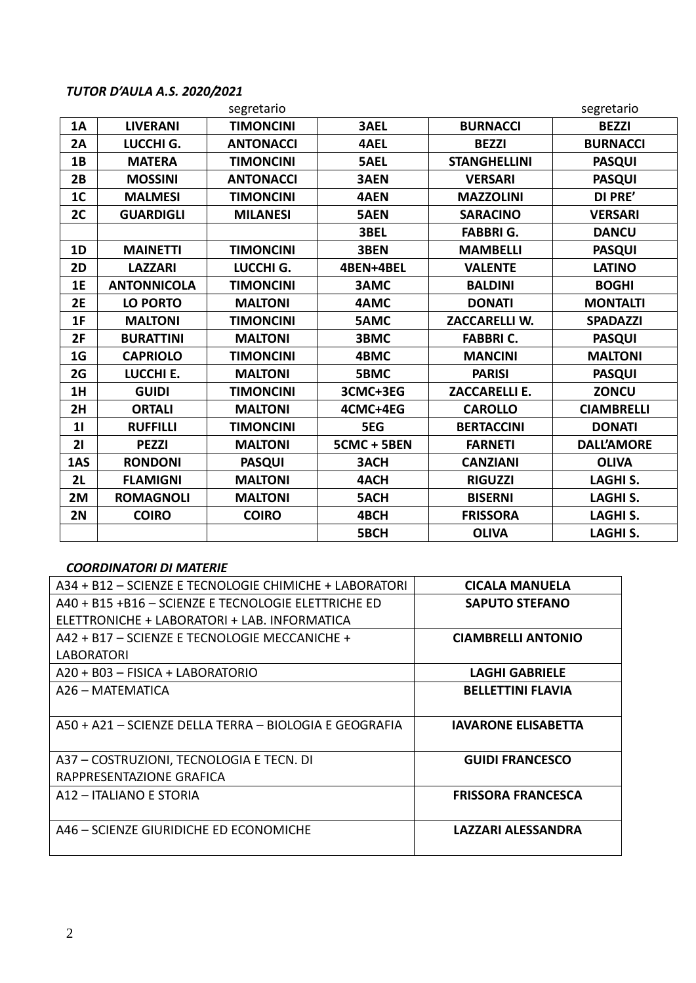# *TUTOR D'AULA A.S. 2020/2021*

|                |                    | segretario       |             |                      | segretario        |
|----------------|--------------------|------------------|-------------|----------------------|-------------------|
| <b>1A</b>      | <b>LIVERANI</b>    | <b>TIMONCINI</b> | <b>3AEL</b> | <b>BURNACCI</b>      | <b>BEZZI</b>      |
| 2A             | LUCCHI G.          | <b>ANTONACCI</b> | 4AEL        | <b>BEZZI</b>         | <b>BURNACCI</b>   |
| 1B             | <b>MATERA</b>      | <b>TIMONCINI</b> | 5AEL        | <b>STANGHELLINI</b>  | <b>PASQUI</b>     |
| 2B             | <b>MOSSINI</b>     | <b>ANTONACCI</b> | 3AEN        | <b>VERSARI</b>       | <b>PASQUI</b>     |
| 1 <sub>C</sub> | <b>MALMESI</b>     | <b>TIMONCINI</b> | <b>4AEN</b> | <b>MAZZOLINI</b>     | DI PRE'           |
| 2C             | <b>GUARDIGLI</b>   | <b>MILANESI</b>  | <b>5AEN</b> | <b>SARACINO</b>      | <b>VERSARI</b>    |
|                |                    |                  | 3BEL        | <b>FABBRIG.</b>      | <b>DANCU</b>      |
| 1D             | <b>MAINETTI</b>    | <b>TIMONCINI</b> | 3BEN        | <b>MAMBELLI</b>      | <b>PASQUI</b>     |
| 2D             | <b>LAZZARI</b>     | LUCCHI G.        | 4BEN+4BEL   | <b>VALENTE</b>       | <b>LATINO</b>     |
| 1E             | <b>ANTONNICOLA</b> | <b>TIMONCINI</b> | 3AMC        | <b>BALDINI</b>       | <b>BOGHI</b>      |
| 2E             | <b>LO PORTO</b>    | <b>MALTONI</b>   | 4AMC        | <b>DONATI</b>        | <b>MONTALTI</b>   |
| 1F             | <b>MALTONI</b>     | <b>TIMONCINI</b> | <b>5AMC</b> | <b>ZACCARELLI W.</b> | <b>SPADAZZI</b>   |
| 2F             | <b>BURATTINI</b>   | <b>MALTONI</b>   | 3BMC        | <b>FABBRI C.</b>     | <b>PASQUI</b>     |
| 1 <sub>G</sub> | <b>CAPRIOLO</b>    | <b>TIMONCINI</b> | 4BMC        | <b>MANCINI</b>       | <b>MALTONI</b>    |
| 2G             | LUCCHI E.          | <b>MALTONI</b>   | 5BMC        | <b>PARISI</b>        | <b>PASQUI</b>     |
| 1H             | <b>GUIDI</b>       | <b>TIMONCINI</b> | 3CMC+3EG    | <b>ZACCARELLI E.</b> | <b>ZONCU</b>      |
| 2H             | <b>ORTALI</b>      | <b>MALTONI</b>   | 4CMC+4EG    | <b>CAROLLO</b>       | <b>CIAMBRELLI</b> |
| 11             | <b>RUFFILLI</b>    | <b>TIMONCINI</b> | 5EG         | <b>BERTACCINI</b>    | <b>DONATI</b>     |
| 21             | <b>PEZZI</b>       | <b>MALTONI</b>   | 5CMC + 5BEN | <b>FARNETI</b>       | <b>DALL'AMORE</b> |
| 1AS            | <b>RONDONI</b>     | <b>PASQUI</b>    | 3ACH        | <b>CANZIANI</b>      | <b>OLIVA</b>      |
| 2L             | <b>FLAMIGNI</b>    | <b>MALTONI</b>   | 4ACH        | <b>RIGUZZI</b>       | <b>LAGHI S.</b>   |
| 2M             | <b>ROMAGNOLI</b>   | <b>MALTONI</b>   | <b>5ACH</b> | <b>BISERNI</b>       | <b>LAGHI S.</b>   |
| 2N             | <b>COIRO</b>       | <b>COIRO</b>     | 4BCH        | <b>FRISSORA</b>      | <b>LAGHI S.</b>   |
|                |                    |                  | 5BCH        | <b>OLIVA</b>         | <b>LAGHIS.</b>    |

## *COORDINATORI DI MATERIE*

| A34 + B12 - SCIENZE E TECNOLOGIE CHIMICHE + LABORATORI | <b>CICALA MANUELA</b>      |
|--------------------------------------------------------|----------------------------|
| A40 + B15 +B16 - SCIENZE E TECNOLOGIE ELETTRICHE ED    | <b>SAPUTO STEFANO</b>      |
| ELETTRONICHE + LABORATORI + LAB. INFORMATICA           |                            |
| A42 + B17 - SCIENZE E TECNOLOGIE MECCANICHE +          | <b>CIAMBRELLI ANTONIO</b>  |
| LABORATORI                                             |                            |
| A20 + B03 - FISICA + LABORATORIO                       | <b>LAGHI GABRIELE</b>      |
| A26 - MATEMATICA                                       | <b>BELLETTINI FLAVIA</b>   |
|                                                        |                            |
| A50 + A21 - SCIENZE DELLA TERRA - BIOLOGIA E GEOGRAFIA | <b>IAVARONE ELISABETTA</b> |
|                                                        |                            |
| A37 - COSTRUZIONI, TECNOLOGIA E TECN. DI               | <b>GUIDI FRANCESCO</b>     |
| RAPPRESENTAZIONE GRAFICA                               |                            |
| A12 - ITALIANO E STORIA                                | <b>FRISSORA FRANCESCA</b>  |
|                                                        |                            |
| A46 – SCIENZE GIURIDICHE ED ECONOMICHE                 | LAZZARI ALESSANDRA         |
|                                                        |                            |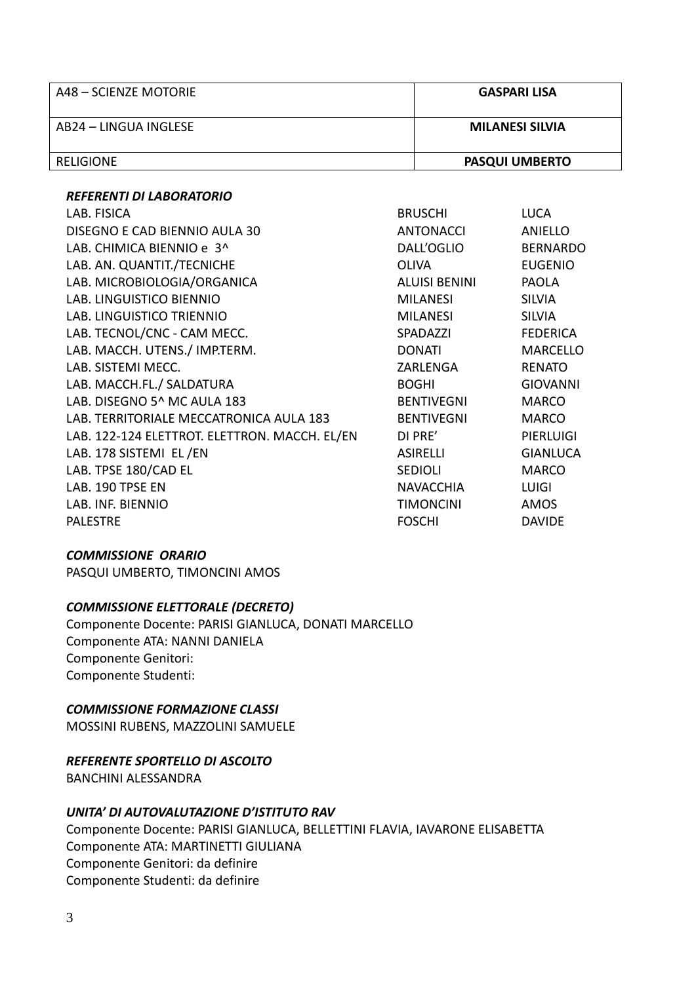| A48 – SCIENZE MOTORIE | <b>GASPARI LISA</b>    |
|-----------------------|------------------------|
| AB24 – LINGUA INGLESE | <b>MILANESI SILVIA</b> |
| RELIGIONE             | <b>PASQUI UMBERTO</b>  |

#### **REFERENTI DI LABORATORIO**

| LAB. FISICA                                   | <b>BRUSCHI</b>       | <b>LUCA</b>      |
|-----------------------------------------------|----------------------|------------------|
| DISEGNO E CAD BIENNIO AULA 30                 | <b>ANTONACCI</b>     | <b>ANIELLO</b>   |
| LAB. CHIMICA BIENNIO e 3^                     | DALL'OGLIO           | <b>BERNARDO</b>  |
| LAB. AN. QUANTIT./TECNICHE                    | <b>OLIVA</b>         | <b>EUGENIO</b>   |
| LAB. MICROBIOLOGIA/ORGANICA                   | <b>ALUISI BENINI</b> | <b>PAOLA</b>     |
| LAB. LINGUISTICO BIENNIO                      | <b>MILANESI</b>      | <b>SILVIA</b>    |
| LAB. LINGUISTICO TRIENNIO                     | <b>MILANESI</b>      | <b>SILVIA</b>    |
| LAB. TECNOL/CNC - CAM MECC.                   | SPADAZZI             | <b>FEDERICA</b>  |
| LAB. MACCH. UTENS./ IMP.TERM.                 | <b>DONATI</b>        | <b>MARCELLO</b>  |
| LAB. SISTEMI MECC.                            | ZARLENGA             | <b>RENATO</b>    |
| LAB. MACCH.FL./ SALDATURA                     | <b>BOGHI</b>         | <b>GIOVANNI</b>  |
| LAB. DISEGNO 5^ MC AULA 183                   | <b>BENTIVEGNI</b>    | <b>MARCO</b>     |
| LAB. TERRITORIALE MECCATRONICA AULA 183       | <b>BENTIVEGNI</b>    | <b>MARCO</b>     |
| LAB. 122-124 ELETTROT. ELETTRON. MACCH. EL/EN | DI PRE'              | <b>PIERLUIGI</b> |
| LAB. 178 SISTEMI EL/EN                        | <b>ASIRELLI</b>      | <b>GIANLUCA</b>  |
| LAB. TPSE 180/CAD EL                          | <b>SEDIOLI</b>       | <b>MARCO</b>     |
| LAB. 190 TPSE EN                              | <b>NAVACCHIA</b>     | <b>LUIGI</b>     |
| LAB. INF. BIENNIO                             | <b>TIMONCINI</b>     | AMOS             |
| <b>PALESTRE</b>                               | <b>FOSCHI</b>        | <b>DAVIDE</b>    |

#### **COMMISSIONE ORARIO**

PASQUI UMBERTO, TIMONCINI AMOS

#### **COMMISSIONE ELETTORALE (DECRETO)**

Componente Docente: PARISI GIANLUCA, DONATI MARCELLO Componente ATA: NANNI DANIELA Componente Genitori: Componente Studenti:

## **COMMISSIONE FORMAZIONE CLASSI**

MOSSINI RUBENS, MAZZOLINI SAMUELE

## REFERENTE SPORTELLO DI ASCOLTO

**BANCHINI ALESSANDRA** 

#### UNITA' DI AUTOVALUTAZIONE D'ISTITUTO RAV

Componente Docente: PARISI GIANLUCA, BELLETTINI FLAVIA, IAVARONE ELISABETTA Componente ATA: MARTINETTI GIULIANA Componente Genitori: da definire Componente Studenti: da definire